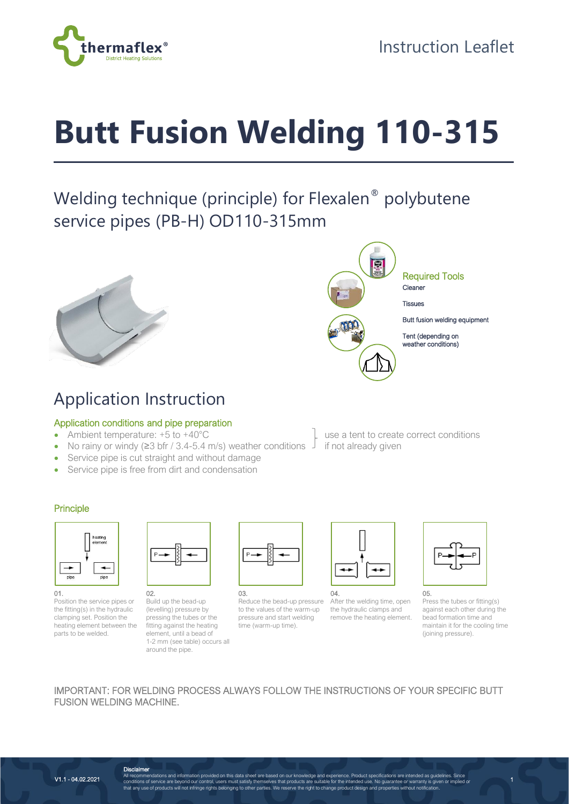

# **Butt Fusion Welding 110-315**

## Welding technique (principle) for Flexalen<sup>®</sup> polybutene service pipes (PB-H) OD110-315mm





Required Tools

**Tissues** 

Butt fusion welding equipment

Tent (depending on weather conditions)

# Application Instruction

## Application conditions and pipe preparation

- Ambient temperature: +5 to +40°C Use a tent to create correct conditions
- No rainy or windy ( $\geq$ 3 bfr / 3.4-5.4 m/s) weather conditions  $\perp$  if not already given
- Service pipe is cut straight and without damage
- Service pipe is free from dirt and condensation

#### Principle



Position the service pipes or the fitting(s) in the hydraulic clamping set. Position the heating element between the parts to be welded.



02. Build up the bead-up (levelling) pressure by pressing the tubes or the fitting against the heating element, until a bead of 1-2 mm (see table) occurs all around the pipe.



03. Reduce the bead-up pressure to the values of the warm-up pressure and start welding time (warm-up time).



04. After the welding time, open the hydraulic clamps and remove the heating element.



05. Press the tubes or fitting(s) against each other during the bead formation time and maintain it for the cooling time (joining pressure).

### IMPORTANT: FOR WELDING PROCESS ALWAYS FOLLOW THE INSTRUCTIONS OF YOUR SPECIFIC BUTT FUSION WELDING MACHINE.

V1.1 - 04.02.2021

**Disclaimer**<br>All recommendations and information provided on this data sheet are based on our knowledge and experience. Product specifications are intended as guidelines. Since<br>conditions of service are beyond our control,

1